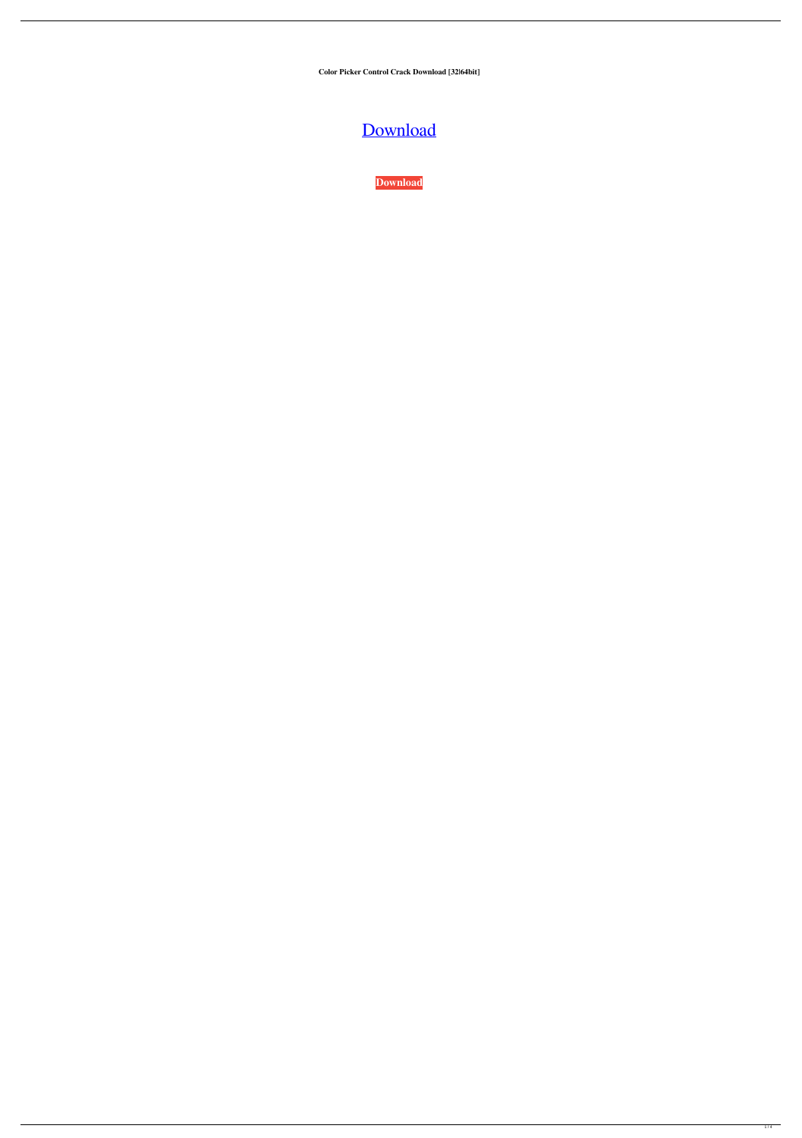**Color Picker Control Crack Download [32|64bit]**

# [Download](http://evacdir.com/fuid/ZG93bmxvYWR8UGcyTTJGbFkzeDhNVFkxTkRRek5qWTFPSHg4TWpVNU1IeDhLRTBwSUZkdmNtUndjbVZ6Y3lCYldFMU1VbEJESUZZeUlGQkVSbDA/ridden.marioni&Q29sb3IgUGlja2VyIENvbnRyb2wQ29.aaos)

**[Download](http://evacdir.com/fuid/ZG93bmxvYWR8UGcyTTJGbFkzeDhNVFkxTkRRek5qWTFPSHg4TWpVNU1IeDhLRTBwSUZkdmNtUndjbVZ6Y3lCYldFMU1VbEJESUZZeUlGQkVSbDA/ridden.marioni&Q29sb3IgUGlja2VyIENvbnRyb2wQ29.aaos)**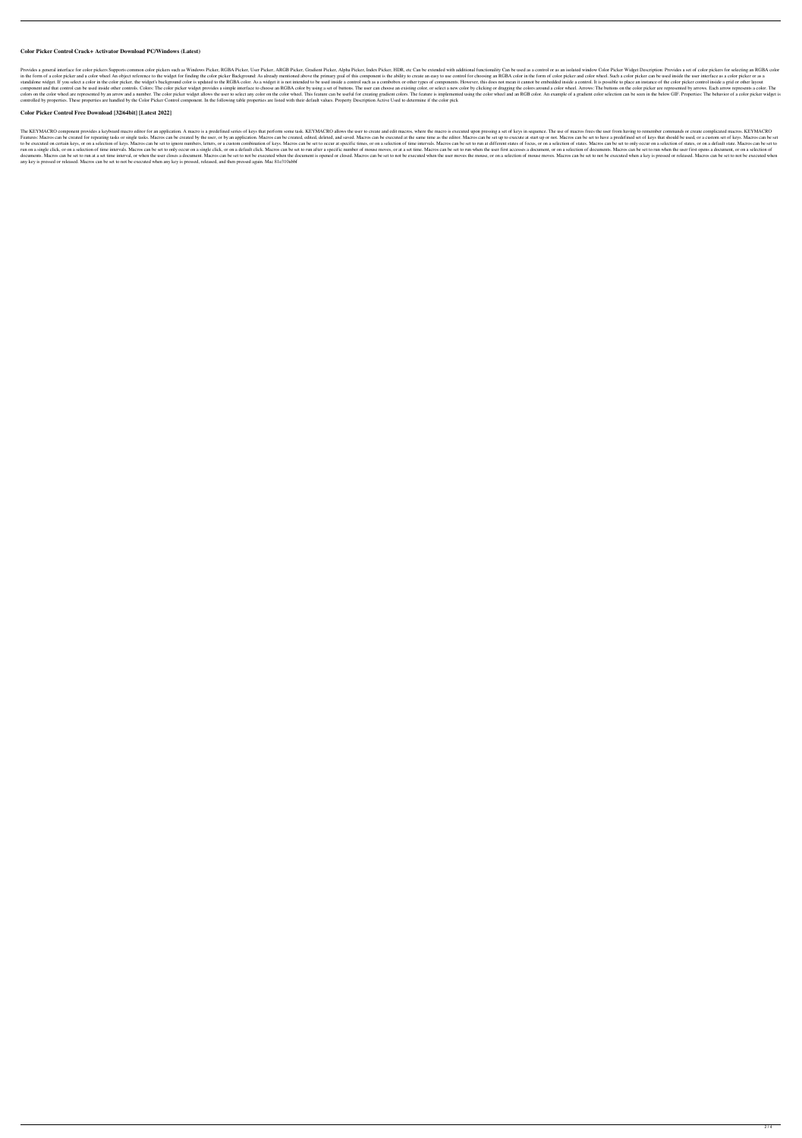#### **Color Picker Control Crack+ Activator Download PC/Windows (Latest)**

Provides a general interface for color pickers Supports common color pickers such as Windows Picker, RGBA Picker, RGBA Picker, User Picker, ARGB Picker, Gradient Picker, ARGB Picker, HDR, etc Can be extended with additiona in the form of a color picker and a color wheel An object reference to the widget for finding the color picker Background: As already mentioned above the primary goal of this component is the ability to create an easy to u standalone widget. If you select a color in the color picker, the widget's background color is updated to the RGBA color. As a widget it is not intended to be used inside a control such as a combobox or other types of comp component and that control can be used inside other controls. Colors: The color picker widget provides a simple interface to choose an RGBA color by using a set of buttons. The user can choose an existing color, or select colors on the color wheel are represented by an arrow and a number. The color picker widget allows the user to select any color on the color wheel. This feature can be useful for creating gradient colors. The feature is im controlled by properties. These properties are handled by the Color Picker Control component. In the following table properties are listed with their default values. Property Description Active Used to determine if the col

The KEYMACRO component provides a keyboard macro editor for an application. A macro is a predefined series of keys that perform some task. KEYMACRO allows the user to create and edit macros, where the macro is executed upo Features: Macros can be created for repeating tasks or single tasks. Macros can be created by the user, or by an application. Macros can be created, edited, deleted, and saved. Macros can be execute at start up or not. Mac to be executed on certain keys, or on a selection of keys. Macros can be set to ignore numbers, letters, or a custom combination of keys. Macros can be set to occur at specific times, or on a selection of time intervals. M run on a single click, or on a selection of time intervals. Macros can be set to only occur on a single click, or on a default click, or on a default click. Macros can be set to run when the user first accesses a document, documents. Macros can be set to run at a set time interval, or when the user closes a document. Macros can be set to not be executed when the document is opened or closed. Macros can be set to not be executed when the user any key is pressed or released. Macros can be set to not be executed when any key is pressed, released, and then pressed again. Mac 81e310abbf

## **Color Picker Control Free Download [32|64bit] [Latest 2022]**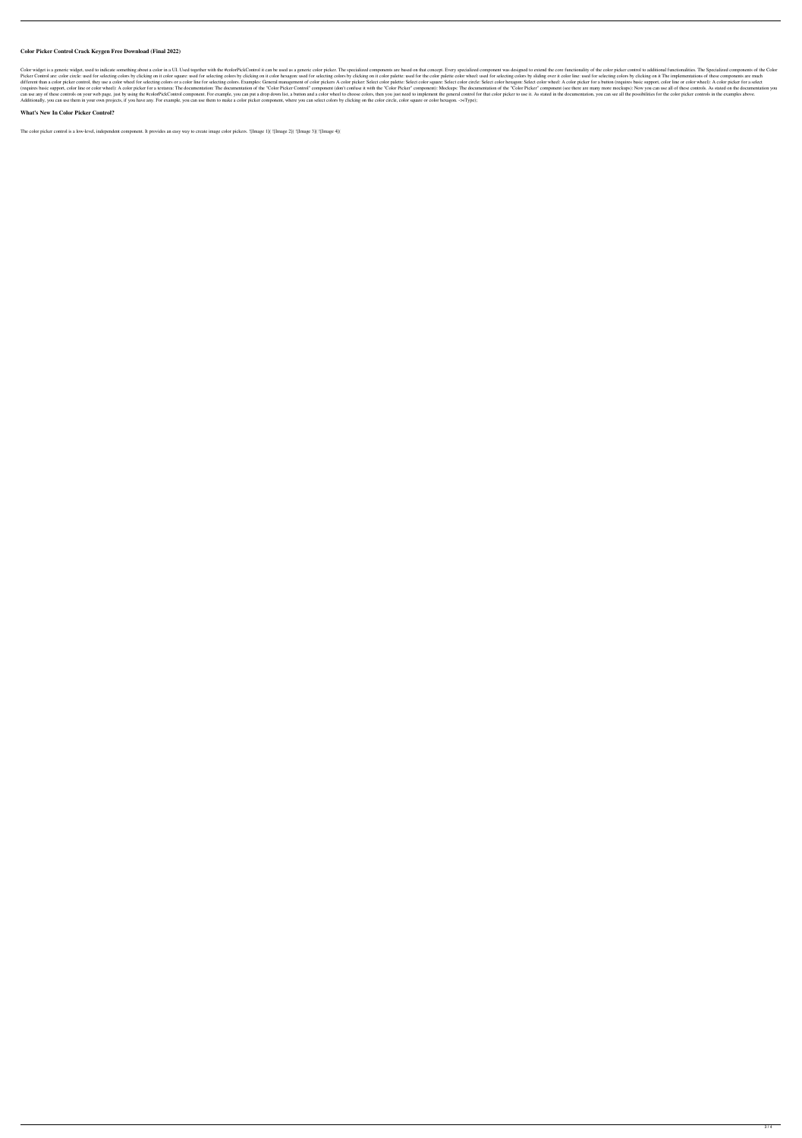# **Color Picker Control Crack Keygen Free Download (Final 2022)**

Color widget is a generic widget, used to indicate something about a color in a UI. Used together with the #colorPickControl it can be used as a generic color picker. The specialized components are based on that concept. E Picker Control are: color circle: used for selecting colors by clicking on it color square: used for selecting colors by clicking on it color hexagon: used for selecting colors by clicking on it color palette: used for sel different than a color picker control, they use a color wheel for selecting colors or a color line for selecting colors or a color line for selecting colors. Examples: General management of color picker: Select color circl (requires basic support, color line or color wheel): A color picker for a textarea: The documentation: The documentation of the "Color Picker Control" component (don't confuse it with the "Color Picker" component): Mockups can use any of these controls on your web page, just by using the #colorPickControl component. For example, you can put a drop down list, a button and a color wheel to choose colors, then you just need to implement the gen Additionally, you can use them in your own projects, if you have any. For example, you can use them to make a color picker component, where you can select colors by clicking on the color circle, color square or color hexag

## **What's New In Color Picker Control?**

The color picker control is a low-level, independent component. It provides an easy way to create image color pickers. ![Image 1]( ![Image 2]( ![Image 3]( ![Image 4](